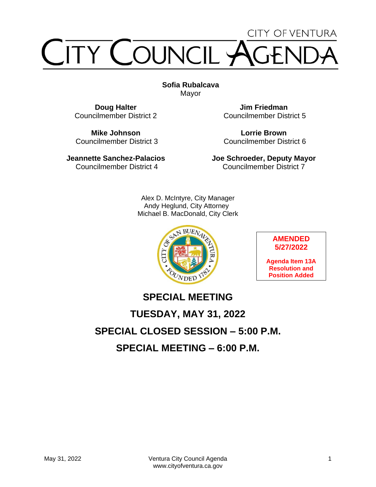# CITY OF VENTURA TY COUNCIL

**Sofia Rubalcava** Mayor

**Doug Halter** Councilmember District 2

**Mike Johnson** Councilmember District 3

**Jeannette Sanchez-Palacios** Councilmember District 4

**Jim Friedman** Councilmember District 5

**Lorrie Brown** Councilmember District 6

**Joe Schroeder, Deputy Mayor** Councilmember District 7

Alex D. McIntyre, City Manager Andy Heglund, City Attorney Michael B. MacDonald, City Clerk



**AMENDED 5/27/2022**

**Agenda Item 13A Resolution and Position Added**

# **SPECIAL MEETING TUESDAY, MAY 31, 2022 SPECIAL CLOSED SESSION – 5:00 P.M. SPECIAL MEETING – 6:00 P.M.**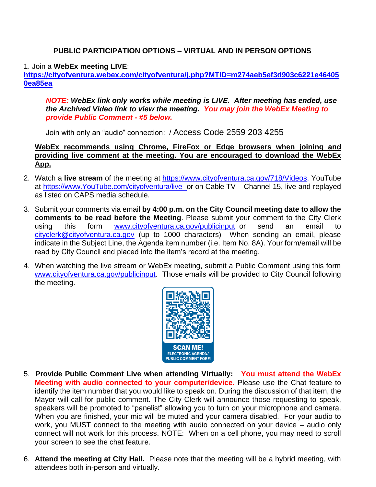#### **PUBLIC PARTICIPATION OPTIONS – VIRTUAL AND IN PERSON OPTIONS**

#### 1. Join a **WebEx meeting LIVE**:

**[https://cityofventura.webex.com/cityofventura/j.php?MTID=m274aeb5ef3d903c6221e46405](https://cityofventura.webex.com/cityofventura/j.php?MTID=m274aeb5ef3d903c6221e464050ea85ea) [0ea85ea](https://cityofventura.webex.com/cityofventura/j.php?MTID=m274aeb5ef3d903c6221e464050ea85ea)**

*NOTE: WebEx link only works while meeting is LIVE. After meeting has ended, use the Archived Video link to view the meeting. You may join the WebEx Meeting to provide Public Comment - #5 below.*

Join with only an "audio" connection: / Access Code 2559 203 4255

#### **WebEx recommends using Chrome, FireFox or Edge browsers when joining and providing live comment at the meeting. You are encouraged to download the WebEx App.**

- 2. Watch a **live stream** of the meeting at [https://www.cityofventura.ca.gov/718/Videos,](https://www.cityofventura.ca.gov/718/Videos) YouTube at [https://www.YouTube.com/cityofventura/live](https://www.youtube.com/cityofventura/live) or on Cable TV – Channel 15, live and replayed as listed on CAPS media schedule.
- 3. Submit your comments via email **by 4:00 p.m. on the City Council meeting date to allow the comments to be read before the Meeting**. Please submit your comment to the City Clerk using this form [www.cityofventura.ca.gov/publicinput](http://www.cityofventura.ca.gov/publicinput) or send an email to [cityclerk@cityofventura.ca.gov](mailto:cityclerk@cityofventura.ca.gov) (up to 1000 characters) When sending an email, please indicate in the Subject Line, the Agenda item number (i.e. Item No. 8A). Your form/email will be read by City Council and placed into the item's record at the meeting.
- 4. When watching the live stream or WebEx meeting, submit a Public Comment using this form [www.cityofventura.ca.gov/publicinput.](http://www.cityofventura.ca.gov/publicinput) Those emails will be provided to City Council following the meeting.



- 5. **Provide Public Comment Live when attending Virtually: You must attend the WebEx Meeting with audio connected to your computer/device.** Please use the Chat feature to identify the item number that you would like to speak on. During the discussion of that item, the Mayor will call for public comment. The City Clerk will announce those requesting to speak, speakers will be promoted to "panelist" allowing you to turn on your microphone and camera. When you are finished, your mic will be muted and your camera disabled. For your audio to work, you MUST connect to the meeting with audio connected on your device – audio only connect will not work for this process. NOTE: When on a cell phone, you may need to scroll your screen to see the chat feature.
- 6. Attend the meeting at City Hall. Please note that the meeting will be a hybrid meeting, with attendees both in-person and virtually.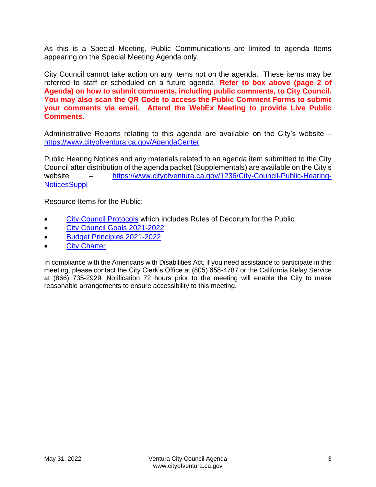As this is a Special Meeting, Public Communications are limited to agenda Items appearing on the Special Meeting Agenda only.

City Council cannot take action on any items not on the agenda. These items may be referred to staff or scheduled on a future agenda. **Refer to box above (page 2 of Agenda) on how to submit comments, including public comments, to City Council. You may also scan the QR Code to access the Public Comment Forms to submit your comments via email. Attend the WebEx Meeting to provide Live Public Comments.**

Administrative Reports relating to this agenda are available on the City's website – <https://www.cityofventura.ca.gov/AgendaCenter>

Public Hearing Notices and any materials related to an agenda item submitted to the City Council after distribution of the agenda packet (Supplementals) are available on the City's website – [https://www.cityofventura.ca.gov/1236/City-Council-Public-Hearing-](https://www.cityofventura.ca.gov/1236/City-Council-Public-Hearing-NoticesSuppl)**[NoticesSuppl](https://www.cityofventura.ca.gov/1236/City-Council-Public-Hearing-NoticesSuppl)** 

Resource Items for the Public:

- [City Council Protocols](https://www.cityofventura.ca.gov/DocumentCenter/View/7563/City-Council-Protocols) which includes Rules of Decorum for the Public
- [City Council Goals 2021-2022](https://www.cityofventura.ca.gov/DocumentCenter/View/26426/Adopted-City-Council-Goals-2021-2022-02242021)
- [Budget Principles 2021-2022](https://www.cityofventura.ca.gov/DocumentCenter/View/26427/FY-2021-22-Budget-Principles-Adopted-02242021)
- [City Charter](https://library.municode.com/ca/san_buenaventura/codes/code_of_ordinances?nodeId=CH)

In compliance with the Americans with Disabilities Act, if you need assistance to participate in this meeting, please contact the City Clerk's Office at (805) 658-4787 or the California Relay Service at (866) 735-2929. Notification 72 hours prior to the meeting will enable the City to make reasonable arrangements to ensure accessibility to this meeting.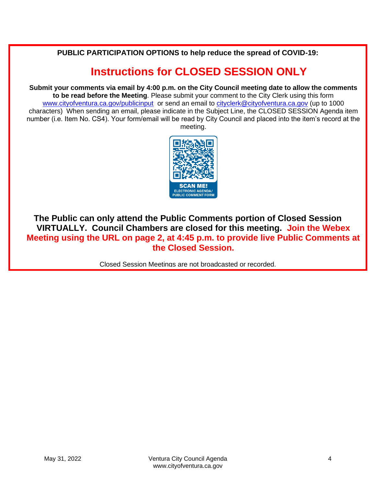**PUBLIC PARTICIPATION OPTIONS to help reduce the spread of COVID-19:**

# **Instructions for CLOSED SESSION ONLY**

**Submit your comments via email by 4:00 p.m. on the City Council meeting date to allow the comments to be read before the Meeting**. Please submit your comment to the City Clerk using this form [www.cityofventura.ca.gov/publicinput](http://www.cityofventura.ca.gov/publicinput) or send an email to [cityclerk@cityofventura.ca.gov](mailto:cityclerk@cityofventura.ca.gov) (up to 1000 characters) When sending an email, please indicate in the Subject Line, the CLOSED SESSION Agenda item number (i.e. Item No. CS4). Your form/email will be read by City Council and placed into the item's record at the meeting.



**The Public can only attend the Public Comments portion of Closed Session VIRTUALLY. Council Chambers are closed for this meeting. Join the Webex Meeting using the URL on page 2, at 4:45 p.m. to provide live Public Comments at the Closed Session.**

Closed Session Meetings are not broadcasted or recorded.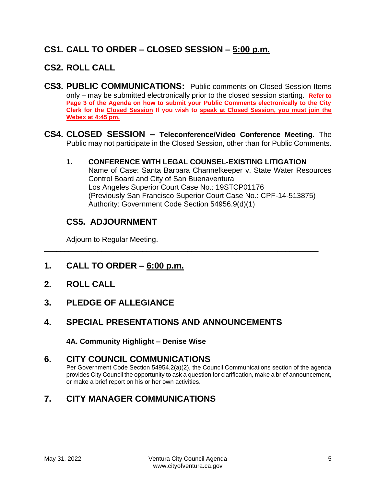# **CS1. CALL TO ORDER – CLOSED SESSION – 5:00 p.m.**

# **CS2. ROLL CALL**

- **CS3. PUBLIC COMMUNICATIONS:** Public comments on Closed Session Items only – may be submitted electronically prior to the closed session starting. **Refer to Page 3 of the Agenda on how to submit your Public Comments electronically to the City Clerk for the Closed Session If you wish to speak at Closed Session, you must join the Webex at 4:45 pm.**
- **CS4. CLOSED SESSION – Teleconference/Video Conference Meeting.** The Public may not participate in the Closed Session, other than for Public Comments.

\_\_\_\_\_\_\_\_\_\_\_\_\_\_\_\_\_\_\_\_\_\_\_\_\_\_\_\_\_\_\_\_\_\_\_\_\_\_\_\_\_\_\_\_\_\_\_\_\_\_\_\_\_\_\_\_\_\_\_\_\_\_\_\_\_\_\_

**1. CONFERENCE WITH LEGAL COUNSEL-EXISTING LITIGATION** Name of Case: Santa Barbara Channelkeeper v. State Water Resources Control Board and City of San Buenaventura Los Angeles Superior Court Case No.: 19STCP01176 (Previously San Francisco Superior Court Case No.: CPF-14-513875) Authority: Government Code Section 54956.9(d)(1)

# **CS5. ADJOURNMENT**

Adjourn to Regular Meeting.

- **1. CALL TO ORDER – 6:00 p.m.**
- **2. ROLL CALL**
- **3. PLEDGE OF ALLEGIANCE**
- **4. SPECIAL PRESENTATIONS AND ANNOUNCEMENTS**

**4A. Community Highlight – Denise Wise**

## **6. CITY COUNCIL COMMUNICATIONS**

Per Government Code Section 54954.2(a)(2), the Council Communications section of the agenda provides City Council the opportunity to ask a question for clarification, make a brief announcement, or make a brief report on his or her own activities.

# **7. CITY MANAGER COMMUNICATIONS**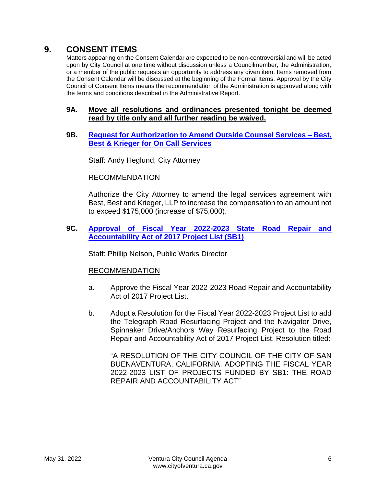# **9. CONSENT ITEMS**

Matters appearing on the Consent Calendar are expected to be non-controversial and will be acted upon by City Council at one time without discussion unless a Councilmember, the Administration, or a member of the public requests an opportunity to address any given item. Items removed from the Consent Calendar will be discussed at the beginning of the Formal Items. Approval by the City Council of Consent Items means the recommendation of the Administration is approved along with the terms and conditions described in the Administrative Report.

#### **9A. Move all resolutions and ordinances presented tonight be deemed read by title only and all further reading be waived.**

#### **9B. [Request for Authorization to Amend Outside Counsel Services –](https://www.cityofventura.ca.gov/DocumentCenter/View/31757/9B) Best, [Best & Krieger for On Call Services](https://www.cityofventura.ca.gov/DocumentCenter/View/31757/9B)**

Staff: Andy Heglund, City Attorney

#### RECOMMENDATION

Authorize the City Attorney to amend the legal services agreement with Best, Best and Krieger, LLP to increase the compensation to an amount not to exceed \$175,000 (increase of \$75,000).

#### **9C. [Approval of Fiscal Year 2022-2023 State Road Repair and](https://www.cityofventura.ca.gov/DocumentCenter/View/31758/9C)  [Accountability Act of 2017 Project List \(SB1\)](https://www.cityofventura.ca.gov/DocumentCenter/View/31758/9C)**

Staff: Phillip Nelson, Public Works Director

#### RECOMMENDATION

- a. Approve the Fiscal Year 2022-2023 Road Repair and Accountability Act of 2017 Project List.
- b. Adopt a Resolution for the Fiscal Year 2022-2023 Project List to add the Telegraph Road Resurfacing Project and the Navigator Drive, Spinnaker Drive/Anchors Way Resurfacing Project to the Road Repair and Accountability Act of 2017 Project List. Resolution titled:

"A RESOLUTION OF THE CITY COUNCIL OF THE CITY OF SAN BUENAVENTURA, CALIFORNIA, ADOPTING THE FISCAL YEAR 2022-2023 LIST OF PROJECTS FUNDED BY SB1: THE ROAD REPAIR AND ACCOUNTABILITY ACT"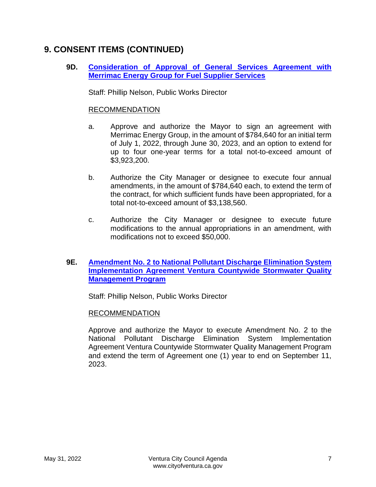# **9. CONSENT ITEMS (CONTINUED)**

**9D. [Consideration of Approval of General Services Agreement with](https://www.cityofventura.ca.gov/DocumentCenter/View/31759/9D)  [Merrimac Energy Group for Fuel Supplier Services](https://www.cityofventura.ca.gov/DocumentCenter/View/31759/9D)**

Staff: Phillip Nelson, Public Works Director

#### RECOMMENDATION

- a. Approve and authorize the Mayor to sign an agreement with Merrimac Energy Group, in the amount of \$784,640 for an initial term of July 1, 2022, through June 30, 2023, and an option to extend for up to four one-year terms for a total not-to-exceed amount of \$3,923,200.
- b. Authorize the City Manager or designee to execute four annual amendments, in the amount of \$784,640 each, to extend the term of the contract, for which sufficient funds have been appropriated, for a total not-to-exceed amount of \$3,138,560.
- c. Authorize the City Manager or designee to execute future modifications to the annual appropriations in an amendment, with modifications not to exceed \$50,000.

#### **9E. [Amendment No. 2 to National Pollutant Discharge Elimination System](https://www.cityofventura.ca.gov/DocumentCenter/View/31760/9E)  [Implementation Agreement Ventura Countywide Stormwater Quality](https://www.cityofventura.ca.gov/DocumentCenter/View/31760/9E)  [Management Program](https://www.cityofventura.ca.gov/DocumentCenter/View/31760/9E)**

Staff: Phillip Nelson, Public Works Director

#### RECOMMENDATION

Approve and authorize the Mayor to execute Amendment No. 2 to the National Pollutant Discharge Elimination System Implementation Agreement Ventura Countywide Stormwater Quality Management Program and extend the term of Agreement one (1) year to end on September 11, 2023.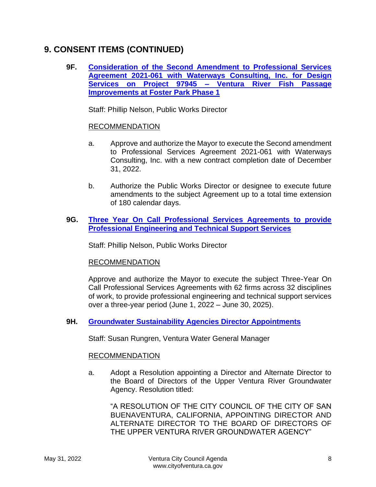# **9. CONSENT ITEMS (CONTINUED)**

**9F. [Consideration of the Second Amendment to Professional Services](https://www.cityofventura.ca.gov/DocumentCenter/View/31761/9F)  [Agreement 2021-061 with Waterways Consulting, Inc. for Design](https://www.cityofventura.ca.gov/DocumentCenter/View/31761/9F)  [Services on Project 97945 –](https://www.cityofventura.ca.gov/DocumentCenter/View/31761/9F) Ventura River Fish Passage [Improvements at Foster Park Phase 1](https://www.cityofventura.ca.gov/DocumentCenter/View/31761/9F)**

Staff: Phillip Nelson, Public Works Director

#### RECOMMENDATION

- a. Approve and authorize the Mayor to execute the Second amendment to Professional Services Agreement 2021-061 with Waterways Consulting, Inc. with a new contract completion date of December 31, 2022.
- b. Authorize the Public Works Director or designee to execute future amendments to the subject Agreement up to a total time extension of 180 calendar days.
- **9G. [Three Year On Call Professional Services Agreements to provide](https://www.cityofventura.ca.gov/DocumentCenter/View/31762/9G)  [Professional Engineering and Technical Support Services](https://www.cityofventura.ca.gov/DocumentCenter/View/31762/9G)**

Staff: Phillip Nelson, Public Works Director

#### RECOMMENDATION

Approve and authorize the Mayor to execute the subject Three-Year On Call Professional Services Agreements with 62 firms across 32 disciplines of work, to provide professional engineering and technical support services over a three-year period (June 1, 2022 – June 30, 2025).

#### **9H. [Groundwater Sustainability Agencies Director Appointments](https://www.cityofventura.ca.gov/DocumentCenter/View/31763/9H)**

Staff: Susan Rungren, Ventura Water General Manager

#### RECOMMENDATION

a. Adopt a Resolution appointing a Director and Alternate Director to the Board of Directors of the Upper Ventura River Groundwater Agency. Resolution titled:

"A RESOLUTION OF THE CITY COUNCIL OF THE CITY OF SAN BUENAVENTURA, CALIFORNIA, APPOINTING DIRECTOR AND ALTERNATE DIRECTOR TO THE BOARD OF DIRECTORS OF THE UPPER VENTURA RIVER GROUNDWATER AGENCY"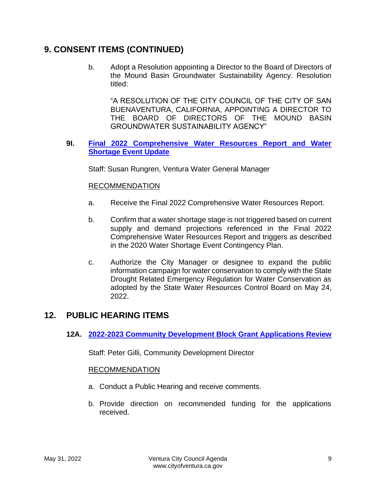# **9. CONSENT ITEMS (CONTINUED)**

b. Adopt a Resolution appointing a Director to the Board of Directors of the Mound Basin Groundwater Sustainability Agency. Resolution titled:

"A RESOLUTION OF THE CITY COUNCIL OF THE CITY OF SAN BUENAVENTURA, CALIFORNIA, APPOINTING A DIRECTOR TO THE BOARD OF DIRECTORS OF THE MOUND BASIN GROUNDWATER SUSTAINABILITY AGENCY"

#### **9I. [Final 2022 Comprehensive Water Resources Report and Water](https://www.cityofventura.ca.gov/DocumentCenter/View/31764/9I)  [Shortage Event Update](https://www.cityofventura.ca.gov/DocumentCenter/View/31764/9I)**

Staff: Susan Rungren, Ventura Water General Manager

#### RECOMMENDATION

- a. Receive the Final 2022 Comprehensive Water Resources Report.
- b. Confirm that a water shortage stage is not triggered based on current supply and demand projections referenced in the Final 2022 Comprehensive Water Resources Report and triggers as described in the 2020 Water Shortage Event Contingency Plan.
- c. Authorize the City Manager or designee to expand the public information campaign for water conservation to comply with the State Drought Related Emergency Regulation for Water Conservation as adopted by the State Water Resources Control Board on May 24, 2022.

## **12. PUBLIC HEARING ITEMS**

#### **12A. [2022-2023 Community Development Block Grant Applications Review](https://www.cityofventura.ca.gov/DocumentCenter/View/31765/12A)**

Staff: Peter Gilli, Community Development Director

#### RECOMMENDATION

- a. Conduct a Public Hearing and receive comments.
- b. Provide direction on recommended funding for the applications received.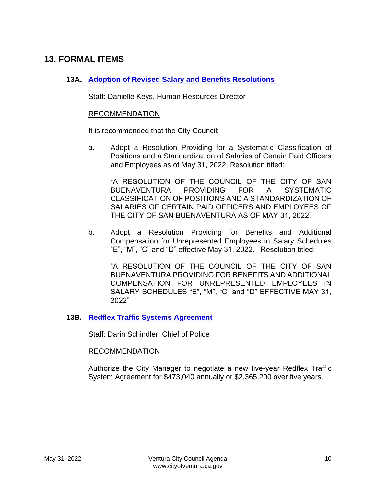# **13. FORMAL ITEMS**

#### **13A. [Adoption of Revised Salary and Benefits Resolutions](https://www.cityofventura.ca.gov/DocumentCenter/View/31766/13A)**

Staff: Danielle Keys, Human Resources Director

#### RECOMMENDATION

It is recommended that the City Council:

a. Adopt a Resolution Providing for a Systematic Classification of Positions and a Standardization of Salaries of Certain Paid Officers and Employees as of May 31, 2022. Resolution titled:

"A RESOLUTION OF THE COUNCIL OF THE CITY OF SAN BUENAVENTURA PROVIDING FOR A SYSTEMATIC CLASSIFICATION OF POSITIONS AND A STANDARDIZATION OF SALARIES OF CERTAIN PAID OFFICERS AND EMPLOYEES OF THE CITY OF SAN BUENAVENTURA AS OF MAY 31, 2022"

b. Adopt a Resolution Providing for Benefits and Additional Compensation for Unrepresented Employees in Salary Schedules "E", "M", "C" and "D" effective May 31, 2022. Resolution titled:

"A RESOLUTION OF THE COUNCIL OF THE CITY OF SAN BUENAVENTURA PROVIDING FOR BENEFITS AND ADDITIONAL COMPENSATION FOR UNREPRESENTED EMPLOYEES IN SALARY SCHEDULES "E", "M", "C" and "D" EFFECTIVE MAY 31, 2022"

#### **13B. [Redflex Traffic Systems Agreement](https://www.cityofventura.ca.gov/DocumentCenter/View/31767/13B)**

Staff: Darin Schindler, Chief of Police

#### RECOMMENDATION

Authorize the City Manager to negotiate a new five-year Redflex Traffic System Agreement for \$473,040 annually or \$2,365,200 over five years.